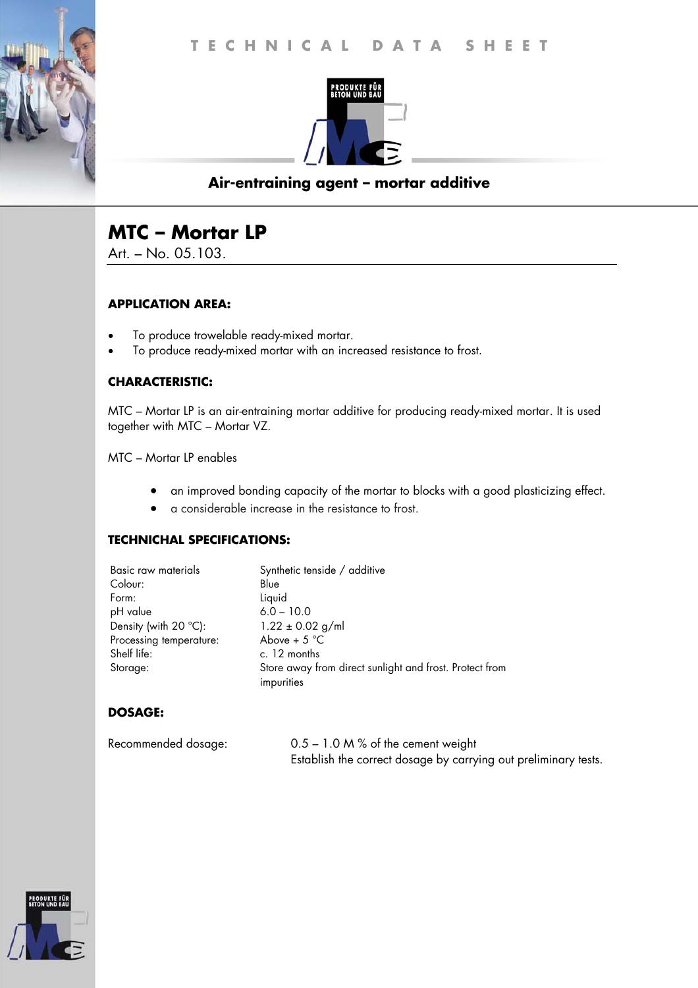

## **Air-entraining agent – mortar additive**

# **MTC – Mortar LP**

Art. – No. 05.103.

#### **APPLICATION AREA:**

- To produce trowelable ready-mixed mortar.
- To produce ready-mixed mortar with an increased resistance to frost.

#### **CHARACTERISTIC:**

MTC – Mortar LP is an air-entraining mortar additive for producing ready-mixed mortar. It is used together with MTC – Mortar VZ.

MTC – Mortar LP enables

- an improved bonding capacity of the mortar to blocks with a good plasticizing effect.
- a considerable increase in the resistance to frost.

#### **TECHNICHAL SPECIFICATIONS:**

| Basic raw materials     | Synthetic tenside / additive                                          |
|-------------------------|-----------------------------------------------------------------------|
| Colour:                 | Blue                                                                  |
| Form:                   | Liquid                                                                |
| pH value                | $6.0 - 10.0$                                                          |
| Density (with 20 °C):   | $1.22 \pm 0.02$ g/ml                                                  |
| Processing temperature: | Above + $5^{\circ}$ C                                                 |
| Shelf life:             | c. 12 months                                                          |
| Storage:                | Store away from direct sunlight and frost. Protect from<br>impurities |

### **DOSAGE:**

| Recommended dosage: | $0.5 - 1.0$ M % of the cement weight                            |
|---------------------|-----------------------------------------------------------------|
|                     | Establish the correct dosage by carrying out preliminary tests. |